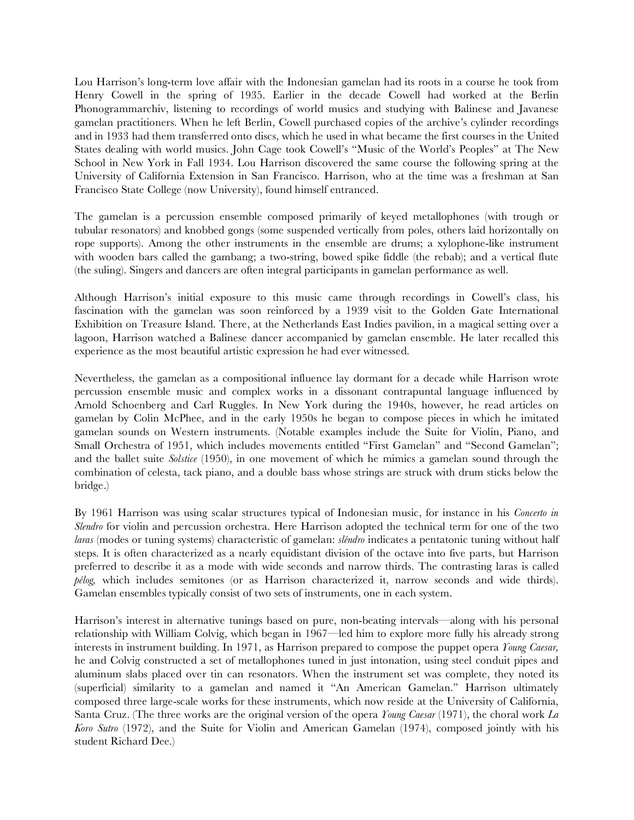Lou Harrison's long-term love affair with the Indonesian gamelan had its roots in a course he took from Henry Cowell in the spring of 1935. Earlier in the decade Cowell had worked at the Berlin Phonogrammarchiv, listening to recordings of world musics and studying with Balinese and Javanese gamelan practitioners. When he left Berlin, Cowell purchased copies of the archive's cylinder recordings and in 1933 had them transferred onto discs, which he used in what became the first courses in the United States dealing with world musics. John Cage took Cowell's "Music of the World's Peoples" at The New School in New York in Fall 1934. Lou Harrison discovered the same course the following spring at the University of California Extension in San Francisco. Harrison, who at the time was a freshman at San Francisco State College (now University), found himself entranced.

The gamelan is a percussion ensemble composed primarily of keyed metallophones (with trough or tubular resonators) and knobbed gongs (some suspended vertically from poles, others laid horizontally on rope supports). Among the other instruments in the ensemble are drums; a xylophone-like instrument with wooden bars called the gambang; a two-string, bowed spike fiddle (the rebab); and a vertical flute (the suling). Singers and dancers are often integral participants in gamelan performance as well.

Although Harrison's initial exposure to this music came through recordings in Cowell's class, his fascination with the gamelan was soon reinforced by a 1939 visit to the Golden Gate International Exhibition on Treasure Island. There, at the Netherlands East Indies pavilion, in a magical setting over a lagoon, Harrison watched a Balinese dancer accompanied by gamelan ensemble. He later recalled this experience as the most beautiful artistic expression he had ever witnessed.

Nevertheless, the gamelan as a compositional influence lay dormant for a decade while Harrison wrote percussion ensemble music and complex works in a dissonant contrapuntal language influenced by Arnold Schoenberg and Carl Ruggles. In New York during the 1940s, however, he read articles on gamelan by Colin McPhee, and in the early 1950s he began to compose pieces in which he imitated gamelan sounds on Western instruments. (Notable examples include the Suite for Violin, Piano, and Small Orchestra of 1951, which includes movements entitled "First Gamelan" and "Second Gamelan"; and the ballet suite *Solstice* (1950), in one movement of which he mimics a gamelan sound through the combination of celesta, tack piano, and a double bass whose strings are struck with drum sticks below the bridge.)

By 1961 Harrison was using scalar structures typical of Indonesian music, for instance in his *Concerto in Slendro* for violin and percussion orchestra. Here Harrison adopted the technical term for one of the two *laras* (modes or tuning systems) characteristic of gamelan: *sléndro* indicates a pentatonic tuning without half steps. It is often characterized as a nearly equidistant division of the octave into five parts, but Harrison preferred to describe it as a mode with wide seconds and narrow thirds. The contrasting laras is called *pélog,* which includes semitones (or as Harrison characterized it, narrow seconds and wide thirds). Gamelan ensembles typically consist of two sets of instruments, one in each system.

Harrison's interest in alternative tunings based on pure, non-beating intervals—along with his personal relationship with William Colvig, which began in 1967—led him to explore more fully his already strong interests in instrument building. In 1971, as Harrison prepared to compose the puppet opera *Young Caesar,* he and Colvig constructed a set of metallophones tuned in just intonation, using steel conduit pipes and aluminum slabs placed over tin can resonators. When the instrument set was complete, they noted its (superficial) similarity to a gamelan and named it "An American Gamelan." Harrison ultimately composed three large-scale works for these instruments, which now reside at the University of California, Santa Cruz. (The three works are the original version of the opera *Young Caesar* (1971), the choral work *La Koro Sutro* (1972), and the Suite for Violin and American Gamelan (1974), composed jointly with his student Richard Dee.)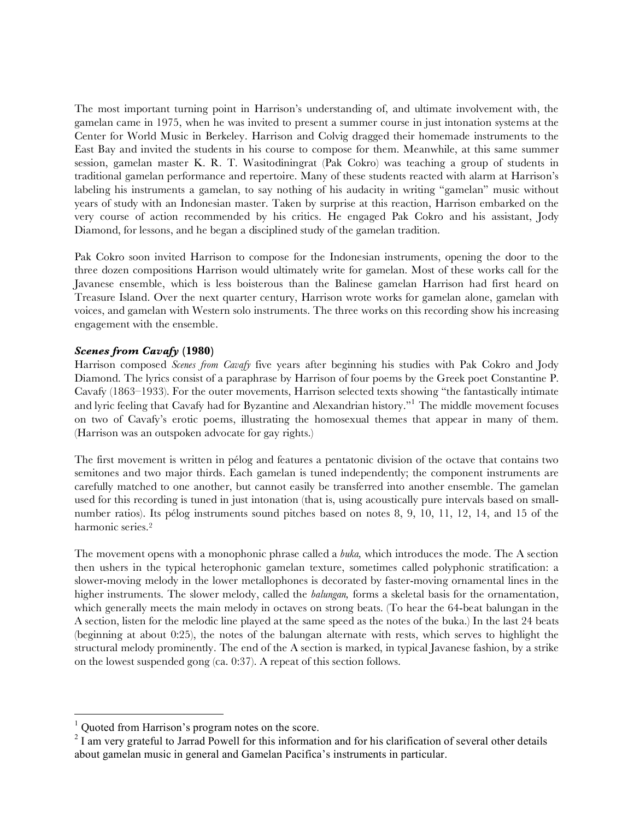The most important turning point in Harrison's understanding of, and ultimate involvement with, the gamelan came in 1975, when he was invited to present a summer course in just intonation systems at the Center for World Music in Berkeley. Harrison and Colvig dragged their homemade instruments to the East Bay and invited the students in his course to compose for them. Meanwhile, at this same summer session, gamelan master K. R. T. Wasitodiningrat (Pak Cokro) was teaching a group of students in traditional gamelan performance and repertoire. Many of these students reacted with alarm at Harrison's labeling his instruments a gamelan, to say nothing of his audacity in writing "gamelan" music without years of study with an Indonesian master. Taken by surprise at this reaction, Harrison embarked on the very course of action recommended by his critics. He engaged Pak Cokro and his assistant, Jody Diamond, for lessons, and he began a disciplined study of the gamelan tradition.

Pak Cokro soon invited Harrison to compose for the Indonesian instruments, opening the door to the three dozen compositions Harrison would ultimately write for gamelan. Most of these works call for the Javanese ensemble, which is less boisterous than the Balinese gamelan Harrison had first heard on Treasure Island. Over the next quarter century, Harrison wrote works for gamelan alone, gamelan with voices, and gamelan with Western solo instruments. The three works on this recording show his increasing engagement with the ensemble.

## *Scenes from Cavafy* **(1980)**

Harrison composed *Scenes from Cavafy* five years after beginning his studies with Pak Cokro and Jody Diamond. The lyrics consist of a paraphrase by Harrison of four poems by the Greek poet Constantine P. Cavafy (1863–1933). For the outer movements, Harrison selected texts showing "the fantastically intimate and lyric feeling that Cavafy had for Byzantine and Alexandrian history."<sup>1</sup> The middle movement focuses on two of Cavafy's erotic poems, illustrating the homosexual themes that appear in many of them. (Harrison was an outspoken advocate for gay rights.)

The first movement is written in pélog and features a pentatonic division of the octave that contains two semitones and two major thirds. Each gamelan is tuned independently; the component instruments are carefully matched to one another, but cannot easily be transferred into another ensemble. The gamelan used for this recording is tuned in just intonation (that is, using acoustically pure intervals based on smallnumber ratios). Its pélog instruments sound pitches based on notes 8, 9, 10, 11, 12, 14, and 15 of the harmonic series.2

The movement opens with a monophonic phrase called a *buka,* which introduces the mode. The A section then ushers in the typical heterophonic gamelan texture, sometimes called polyphonic stratification: a slower-moving melody in the lower metallophones is decorated by faster-moving ornamental lines in the higher instruments. The slower melody, called the *balungan,* forms a skeletal basis for the ornamentation, which generally meets the main melody in octaves on strong beats. (To hear the 64-beat balungan in the A section, listen for the melodic line played at the same speed as the notes of the buka.) In the last 24 beats (beginning at about 0:25), the notes of the balungan alternate with rests, which serves to highlight the structural melody prominently. The end of the A section is marked, in typical Javanese fashion, by a strike on the lowest suspended gong (ca. 0:37). A repeat of this section follows.

 $\frac{1}{1}$  $1$  Ouoted from Harrison's program notes on the score.

 $2<sup>2</sup>$  I am very grateful to Jarrad Powell for this information and for his clarification of several other details about gamelan music in general and Gamelan Pacifica's instruments in particular.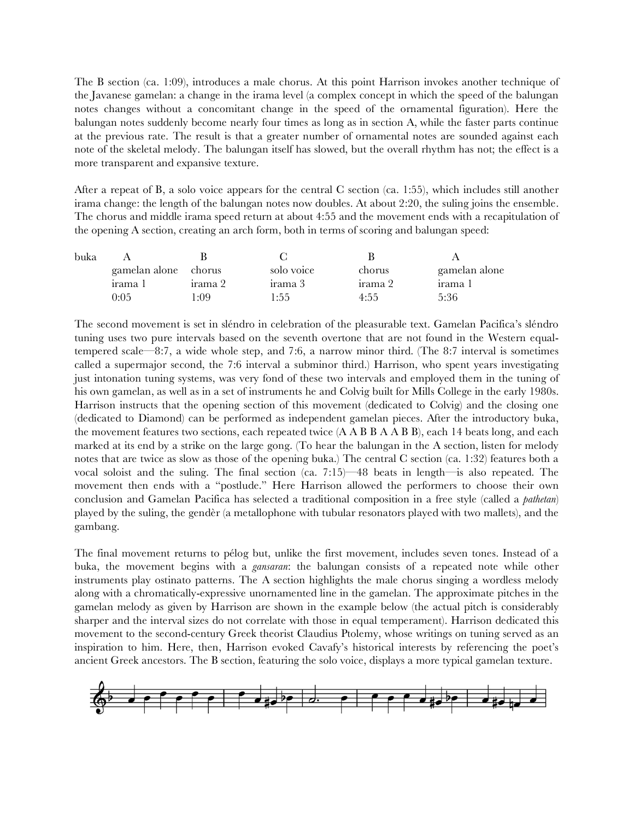The B section (ca. 1:09), introduces a male chorus. At this point Harrison invokes another technique of the Javanese gamelan: a change in the irama level (a complex concept in which the speed of the balungan notes changes without a concomitant change in the speed of the ornamental figuration). Here the balungan notes suddenly become nearly four times as long as in section A, while the faster parts continue at the previous rate. The result is that a greater number of ornamental notes are sounded against each note of the skeletal melody. The balungan itself has slowed, but the overall rhythm has not; the effect is a more transparent and expansive texture.

After a repeat of B, a solo voice appears for the central C section (ca. 1:55), which includes still another irama change: the length of the balungan notes now doubles. At about 2:20, the suling joins the ensemble. The chorus and middle irama speed return at about 4:55 and the movement ends with a recapitulation of the opening A section, creating an arch form, both in terms of scoring and balungan speed:

| buka |                      |         |            |         |               |
|------|----------------------|---------|------------|---------|---------------|
|      | gamelan alone chorus |         | solo voice | chorus  | gamelan alone |
|      | irama 1              | irama 2 | irama 3    | irama 2 | irama 1       |
|      | 0:05                 | :09     | 1:55       | 4:55    | 5:36          |

The second movement is set in sléndro in celebration of the pleasurable text. Gamelan Pacifica's sléndro tuning uses two pure intervals based on the seventh overtone that are not found in the Western equaltempered scale—8:7, a wide whole step, and 7:6, a narrow minor third. (The 8:7 interval is sometimes called a supermajor second, the 7:6 interval a subminor third.) Harrison, who spent years investigating just intonation tuning systems, was very fond of these two intervals and employed them in the tuning of his own gamelan, as well as in a set of instruments he and Colvig built for Mills College in the early 1980s. Harrison instructs that the opening section of this movement (dedicated to Colvig) and the closing one (dedicated to Diamond) can be performed as independent gamelan pieces. After the introductory buka, the movement features two sections, each repeated twice (A A B B A A B B), each 14 beats long, and each marked at its end by a strike on the large gong. (To hear the balungan in the A section, listen for melody notes that are twice as slow as those of the opening buka.) The central C section (ca. 1:32) features both a vocal soloist and the suling. The final section (ca. 7:15)—48 beats in length—is also repeated. The movement then ends with a "postlude." Here Harrison allowed the performers to choose their own conclusion and Gamelan Pacifica has selected a traditional composition in a free style (called a *pathetan*) played by the suling, the gendèr (a metallophone with tubular resonators played with two mallets), and the gambang.

The final movement returns to pélog but, unlike the first movement, includes seven tones. Instead of a buka, the movement begins with a *gansaran*: the balungan consists of a repeated note while other instruments play ostinato patterns. The A section highlights the male chorus singing a wordless melody along with a chromatically-expressive unornamented line in the gamelan. The approximate pitches in the gamelan melody as given by Harrison are shown in the example below (the actual pitch is considerably sharper and the interval sizes do not correlate with those in equal temperament). Harrison dedicated this movement to the second-century Greek theorist Claudius Ptolemy, whose writings on tuning served as an inspiration to him. Here, then, Harrison evoked Cavafy's historical interests by referencing the poet's ancient Greek ancestors. The B section, featuring the solo voice, displays a more typical gamelan texture.

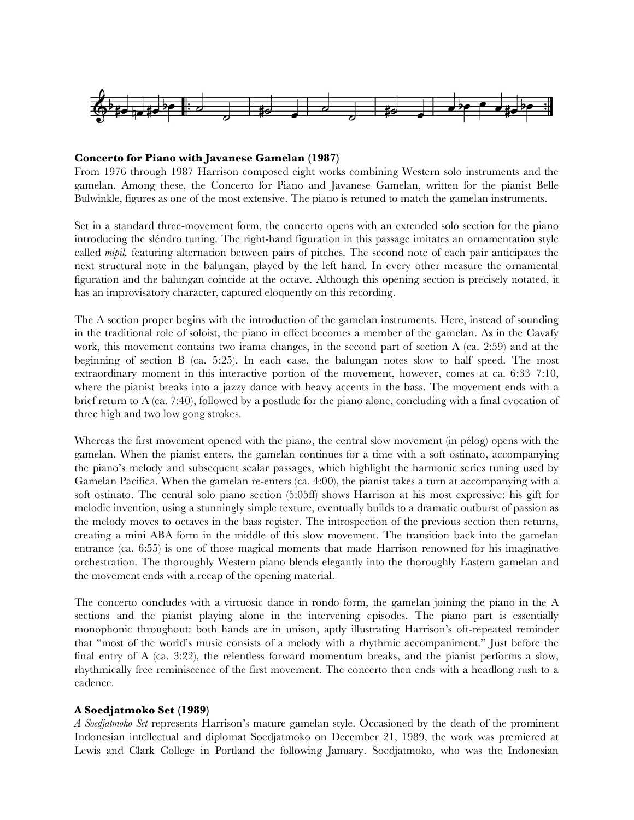

#### **Concerto for Piano with Javanese Gamelan (1987)**

From 1976 through 1987 Harrison composed eight works combining Western solo instruments and the gamelan. Among these, the Concerto for Piano and Javanese Gamelan, written for the pianist Belle Bulwinkle, figures as one of the most extensive. The piano is retuned to match the gamelan instruments.

Set in a standard three-movement form, the concerto opens with an extended solo section for the piano introducing the sléndro tuning. The right-hand figuration in this passage imitates an ornamentation style called *mipil,* featuring alternation between pairs of pitches. The second note of each pair anticipates the next structural note in the balungan, played by the left hand. In every other measure the ornamental figuration and the balungan coincide at the octave. Although this opening section is precisely notated, it has an improvisatory character, captured eloquently on this recording.

The A section proper begins with the introduction of the gamelan instruments. Here, instead of sounding in the traditional role of soloist, the piano in effect becomes a member of the gamelan. As in the Cavafy work, this movement contains two irama changes, in the second part of section A (ca. 2:59) and at the beginning of section B (ca. 5:25). In each case, the balungan notes slow to half speed. The most extraordinary moment in this interactive portion of the movement, however, comes at ca. 6:33–7:10, where the pianist breaks into a jazzy dance with heavy accents in the bass. The movement ends with a brief return to A (ca. 7:40), followed by a postlude for the piano alone, concluding with a final evocation of three high and two low gong strokes.

Whereas the first movement opened with the piano, the central slow movement (in pélog) opens with the gamelan. When the pianist enters, the gamelan continues for a time with a soft ostinato, accompanying the piano's melody and subsequent scalar passages, which highlight the harmonic series tuning used by Gamelan Pacifica. When the gamelan re-enters (ca. 4:00), the pianist takes a turn at accompanying with a soft ostinato. The central solo piano section (5:05ff) shows Harrison at his most expressive: his gift for melodic invention, using a stunningly simple texture, eventually builds to a dramatic outburst of passion as the melody moves to octaves in the bass register. The introspection of the previous section then returns, creating a mini ABA form in the middle of this slow movement. The transition back into the gamelan entrance (ca. 6:55) is one of those magical moments that made Harrison renowned for his imaginative orchestration. The thoroughly Western piano blends elegantly into the thoroughly Eastern gamelan and the movement ends with a recap of the opening material.

The concerto concludes with a virtuosic dance in rondo form, the gamelan joining the piano in the A sections and the pianist playing alone in the intervening episodes. The piano part is essentially monophonic throughout: both hands are in unison, aptly illustrating Harrison's oft-repeated reminder that "most of the world's music consists of a melody with a rhythmic accompaniment." Just before the final entry of A (ca. 3:22), the relentless forward momentum breaks, and the pianist performs a slow, rhythmically free reminiscence of the first movement. The concerto then ends with a headlong rush to a cadence.

### **A Soedjatmoko Set (1989)**

*A Soedjatmoko Set* represents Harrison's mature gamelan style. Occasioned by the death of the prominent Indonesian intellectual and diplomat Soedjatmoko on December 21, 1989, the work was premiered at Lewis and Clark College in Portland the following January. Soedjatmoko, who was the Indonesian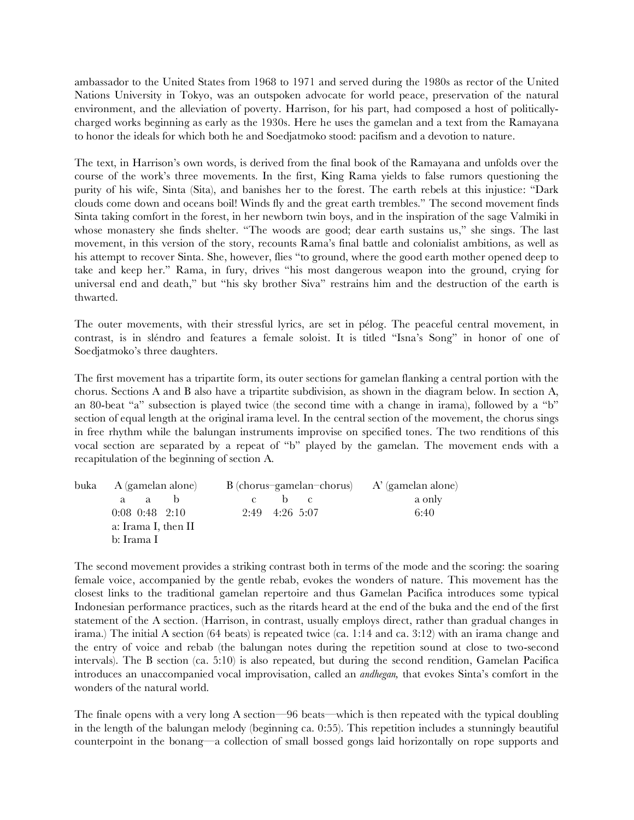ambassador to the United States from 1968 to 1971 and served during the 1980s as rector of the United Nations University in Tokyo, was an outspoken advocate for world peace, preservation of the natural environment, and the alleviation of poverty. Harrison, for his part, had composed a host of politicallycharged works beginning as early as the 1930s. Here he uses the gamelan and a text from the Ramayana to honor the ideals for which both he and Soedjatmoko stood: pacifism and a devotion to nature.

The text, in Harrison's own words, is derived from the final book of the Ramayana and unfolds over the course of the work's three movements. In the first, King Rama yields to false rumors questioning the purity of his wife, Sinta (Sita), and banishes her to the forest. The earth rebels at this injustice: "Dark clouds come down and oceans boil! Winds fly and the great earth trembles." The second movement finds Sinta taking comfort in the forest, in her newborn twin boys, and in the inspiration of the sage Valmiki in whose monastery she finds shelter. "The woods are good; dear earth sustains us," she sings. The last movement, in this version of the story, recounts Rama's final battle and colonialist ambitions, as well as his attempt to recover Sinta. She, however, flies "to ground, where the good earth mother opened deep to take and keep her." Rama, in fury, drives "his most dangerous weapon into the ground, crying for universal end and death," but "his sky brother Siva" restrains him and the destruction of the earth is thwarted.

The outer movements, with their stressful lyrics, are set in pélog. The peaceful central movement, in contrast, is in sléndro and features a female soloist. It is titled "Isna's Song" in honor of one of Soedjatmoko's three daughters.

The first movement has a tripartite form, its outer sections for gamelan flanking a central portion with the chorus. Sections A and B also have a tripartite subdivision, as shown in the diagram below. In section A, an 80-beat "a" subsection is played twice (the second time with a change in irama), followed by a "b" section of equal length at the original irama level. In the central section of the movement, the chorus sings in free rhythm while the balungan instruments improvise on specified tones. The two renditions of this vocal section are separated by a repeat of "b" played by the gamelan. The movement ends with a recapitulation of the beginning of section A.

| buka A (gamelan alone) | $B$ (chorus-gamelan-chorus) $A'$ (gamelan alone) |        |  |
|------------------------|--------------------------------------------------|--------|--|
| a a<br>-a              |                                                  | a only |  |
| $0:08$ $0:48$ $2:10$   | $2:49$ 4:26 5:07                                 | 6:40   |  |
| a: Irama I, then II    |                                                  |        |  |
| b: Irama I             |                                                  |        |  |

The second movement provides a striking contrast both in terms of the mode and the scoring: the soaring female voice, accompanied by the gentle rebab, evokes the wonders of nature. This movement has the closest links to the traditional gamelan repertoire and thus Gamelan Pacifica introduces some typical Indonesian performance practices, such as the ritards heard at the end of the buka and the end of the first statement of the A section. (Harrison, in contrast, usually employs direct, rather than gradual changes in irama.) The initial A section (64 beats) is repeated twice (ca. 1:14 and ca. 3:12) with an irama change and the entry of voice and rebab (the balungan notes during the repetition sound at close to two-second intervals). The B section (ca. 5:10) is also repeated, but during the second rendition, Gamelan Pacifica introduces an unaccompanied vocal improvisation, called an *andhegan,* that evokes Sinta's comfort in the wonders of the natural world.

The finale opens with a very long A section—96 beats—which is then repeated with the typical doubling in the length of the balungan melody (beginning ca. 0:55). This repetition includes a stunningly beautiful counterpoint in the bonang—a collection of small bossed gongs laid horizontally on rope supports and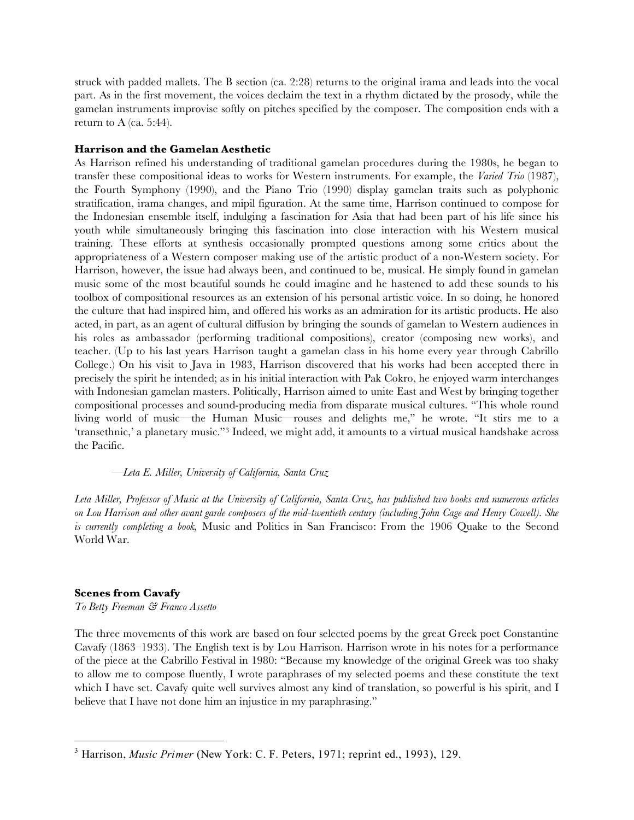struck with padded mallets. The B section (ca. 2:28) returns to the original irama and leads into the vocal part. As in the first movement, the voices declaim the text in a rhythm dictated by the prosody, while the gamelan instruments improvise softly on pitches specified by the composer. The composition ends with a return to A (ca. 5:44).

### **Harrison and the Gamelan Aesthetic**

As Harrison refined his understanding of traditional gamelan procedures during the 1980s, he began to transfer these compositional ideas to works for Western instruments. For example, the *Varied Trio* (1987), the Fourth Symphony (1990), and the Piano Trio (1990) display gamelan traits such as polyphonic stratification, irama changes, and mipil figuration. At the same time, Harrison continued to compose for the Indonesian ensemble itself, indulging a fascination for Asia that had been part of his life since his youth while simultaneously bringing this fascination into close interaction with his Western musical training. These efforts at synthesis occasionally prompted questions among some critics about the appropriateness of a Western composer making use of the artistic product of a non-Western society. For Harrison, however, the issue had always been, and continued to be, musical. He simply found in gamelan music some of the most beautiful sounds he could imagine and he hastened to add these sounds to his toolbox of compositional resources as an extension of his personal artistic voice. In so doing, he honored the culture that had inspired him, and offered his works as an admiration for its artistic products. He also acted, in part, as an agent of cultural diffusion by bringing the sounds of gamelan to Western audiences in his roles as ambassador (performing traditional compositions), creator (composing new works), and teacher. (Up to his last years Harrison taught a gamelan class in his home every year through Cabrillo College.) On his visit to Java in 1983, Harrison discovered that his works had been accepted there in precisely the spirit he intended; as in his initial interaction with Pak Cokro, he enjoyed warm interchanges with Indonesian gamelan masters. Politically, Harrison aimed to unite East and West by bringing together compositional processes and sound-producing media from disparate musical cultures. "This whole round living world of music—the Human Music—rouses and delights me," he wrote. "It stirs me to a 'transethnic,' a planetary music."3 Indeed, we might add, it amounts to a virtual musical handshake across the Pacific.

### *—Leta E. Miller, University of California, Santa Cruz*

*Leta Miller, Professor of Music at the University of California, Santa Cruz, has published two books and numerous articles on Lou Harrison and other avant garde composers of the mid-twentieth century (including John Cage and Henry Cowell). She is currently completing a book,* Music and Politics in San Francisco: From the 1906 Quake to the Second World War.

## **Scenes from Cavafy**

*To Betty Freeman & Franco Assetto*

The three movements of this work are based on four selected poems by the great Greek poet Constantine Cavafy (1863–1933). The English text is by Lou Harrison. Harrison wrote in his notes for a performance of the piece at the Cabrillo Festival in 1980: "Because my knowledge of the original Greek was too shaky to allow me to compose fluently, I wrote paraphrases of my selected poems and these constitute the text which I have set. Cavafy quite well survives almost any kind of translation, so powerful is his spirit, and I believe that I have not done him an injustice in my paraphrasing."

 $\frac{1}{3}$ Harrison, *Music Primer* (New York: C. F. Peters, 1971; reprint ed., 1993), 129.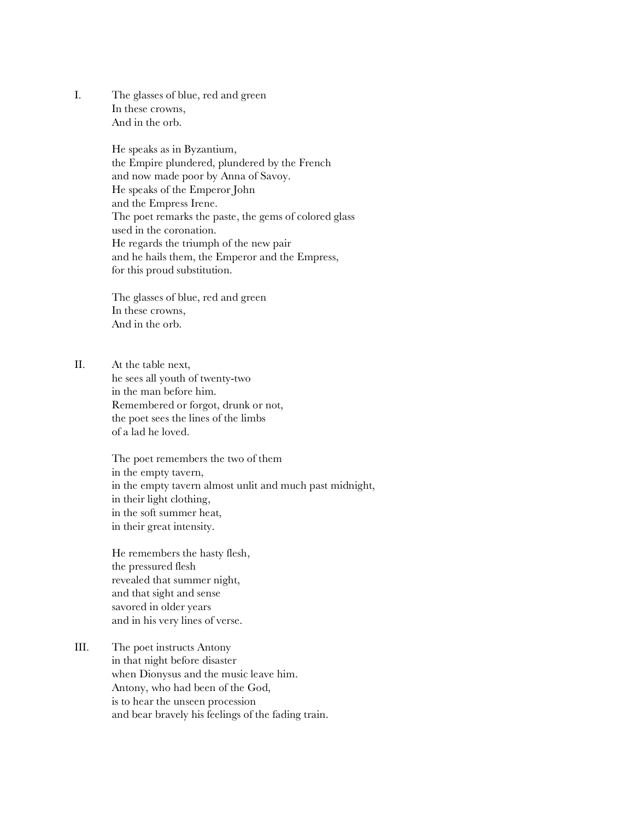I. The glasses of blue, red and green In these crowns, And in the orb.

> He speaks as in Byzantium, the Empire plundered, plundered by the French and now made poor by Anna of Savoy. He speaks of the Emperor John and the Empress Irene. The poet remarks the paste, the gems of colored glass used in the coronation. He regards the triumph of the new pair and he hails them, the Emperor and the Empress, for this proud substitution.

The glasses of blue, red and green In these crowns, And in the orb.

II. At the table next, he sees all youth of twenty-two in the man before him. Remembered or forgot, drunk or not, the poet sees the lines of the limbs of a lad he loved.

> The poet remembers the two of them in the empty tavern, in the empty tavern almost unlit and much past midnight, in their light clothing, in the soft summer heat, in their great intensity.

He remembers the hasty flesh, the pressured flesh revealed that summer night, and that sight and sense savored in older years and in his very lines of verse.

III. The poet instructs Antony in that night before disaster when Dionysus and the music leave him. Antony, who had been of the God, is to hear the unseen procession and bear bravely his feelings of the fading train.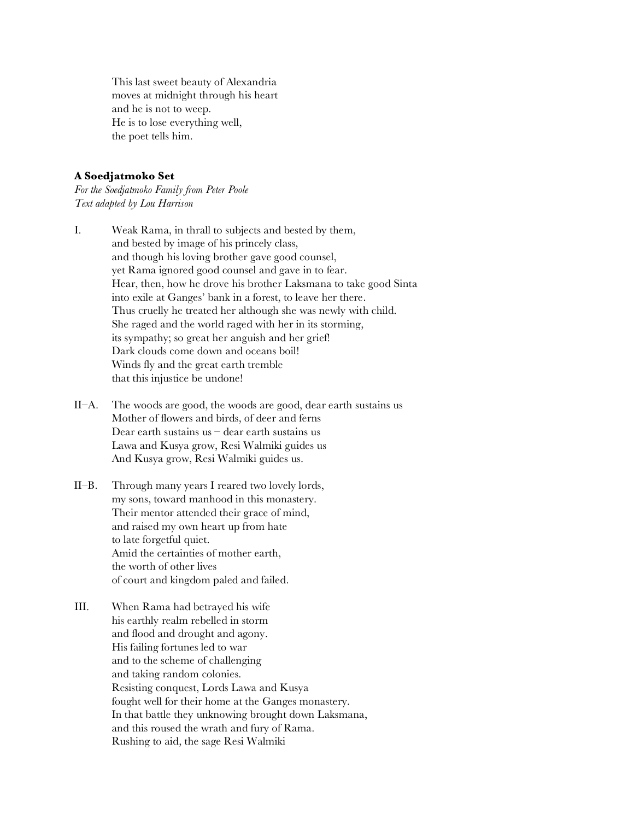This last sweet beauty of Alexandria moves at midnight through his heart and he is not to weep. He is to lose everything well, the poet tells him.

### **A Soedjatmoko Set**

*For the Soedjatmoko Family from Peter Poole Text adapted by Lou Harrison*

- I. Weak Rama, in thrall to subjects and bested by them, and bested by image of his princely class, and though his loving brother gave good counsel, yet Rama ignored good counsel and gave in to fear. Hear, then, how he drove his brother Laksmana to take good Sinta into exile at Ganges' bank in a forest, to leave her there. Thus cruelly he treated her although she was newly with child. She raged and the world raged with her in its storming, its sympathy; so great her anguish and her grief! Dark clouds come down and oceans boil! Winds fly and the great earth tremble that this injustice be undone!
- II–A. The woods are good, the woods are good, dear earth sustains us Mother of flowers and birds, of deer and ferns Dear earth sustains us – dear earth sustains us Lawa and Kusya grow, Resi Walmiki guides us And Kusya grow, Resi Walmiki guides us.
- II–B. Through many years I reared two lovely lords, my sons, toward manhood in this monastery. Their mentor attended their grace of mind, and raised my own heart up from hate to late forgetful quiet. Amid the certainties of mother earth, the worth of other lives of court and kingdom paled and failed.
- III. When Rama had betrayed his wife his earthly realm rebelled in storm and flood and drought and agony. His failing fortunes led to war and to the scheme of challenging and taking random colonies. Resisting conquest, Lords Lawa and Kusya fought well for their home at the Ganges monastery. In that battle they unknowing brought down Laksmana, and this roused the wrath and fury of Rama. Rushing to aid, the sage Resi Walmiki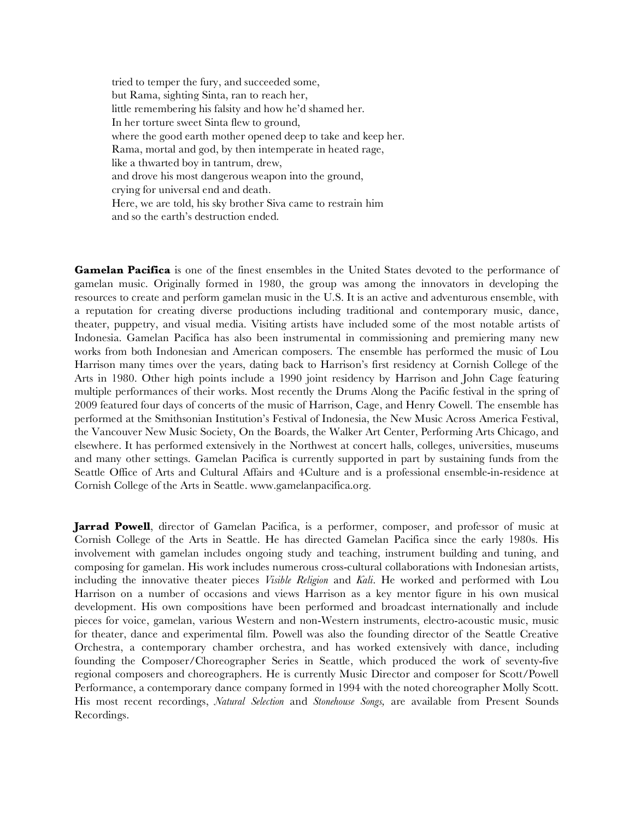tried to temper the fury, and succeeded some, but Rama, sighting Sinta, ran to reach her, little remembering his falsity and how he'd shamed her. In her torture sweet Sinta flew to ground, where the good earth mother opened deep to take and keep her. Rama, mortal and god, by then intemperate in heated rage, like a thwarted boy in tantrum, drew, and drove his most dangerous weapon into the ground, crying for universal end and death. Here, we are told, his sky brother Siva came to restrain him and so the earth's destruction ended.

**Gamelan Pacifica** is one of the finest ensembles in the United States devoted to the performance of gamelan music. Originally formed in 1980, the group was among the innovators in developing the resources to create and perform gamelan music in the U.S. It is an active and adventurous ensemble, with a reputation for creating diverse productions including traditional and contemporary music, dance, theater, puppetry, and visual media. Visiting artists have included some of the most notable artists of Indonesia. Gamelan Pacifica has also been instrumental in commissioning and premiering many new works from both Indonesian and American composers. The ensemble has performed the music of Lou Harrison many times over the years, dating back to Harrison's first residency at Cornish College of the Arts in 1980. Other high points include a 1990 joint residency by Harrison and John Cage featuring multiple performances of their works. Most recently the Drums Along the Pacific festival in the spring of 2009 featured four days of concerts of the music of Harrison, Cage, and Henry Cowell. The ensemble has performed at the Smithsonian Institution's Festival of Indonesia, the New Music Across America Festival, the Vancouver New Music Society, On the Boards, the Walker Art Center, Performing Arts Chicago, and elsewhere. It has performed extensively in the Northwest at concert halls, colleges, universities, museums and many other settings. Gamelan Pacifica is currently supported in part by sustaining funds from the Seattle Office of Arts and Cultural Affairs and 4Culture and is a professional ensemble-in-residence at Cornish College of the Arts in Seattle. www.gamelanpacifica.org.

**Jarrad Powell**, director of Gamelan Pacifica, is a performer, composer, and professor of music at Cornish College of the Arts in Seattle. He has directed Gamelan Pacifica since the early 1980s. His involvement with gamelan includes ongoing study and teaching, instrument building and tuning, and composing for gamelan. His work includes numerous cross-cultural collaborations with Indonesian artists, including the innovative theater pieces *Visible Religion* and *Kali*. He worked and performed with Lou Harrison on a number of occasions and views Harrison as a key mentor figure in his own musical development. His own compositions have been performed and broadcast internationally and include pieces for voice, gamelan, various Western and non-Western instruments, electro-acoustic music, music for theater, dance and experimental film. Powell was also the founding director of the Seattle Creative Orchestra, a contemporary chamber orchestra, and has worked extensively with dance, including founding the Composer/Choreographer Series in Seattle, which produced the work of seventy-five regional composers and choreographers. He is currently Music Director and composer for Scott/Powell Performance, a contemporary dance company formed in 1994 with the noted choreographer Molly Scott. His most recent recordings, *Natural Selection* and *Stonehouse Songs,* are available from Present Sounds Recordings.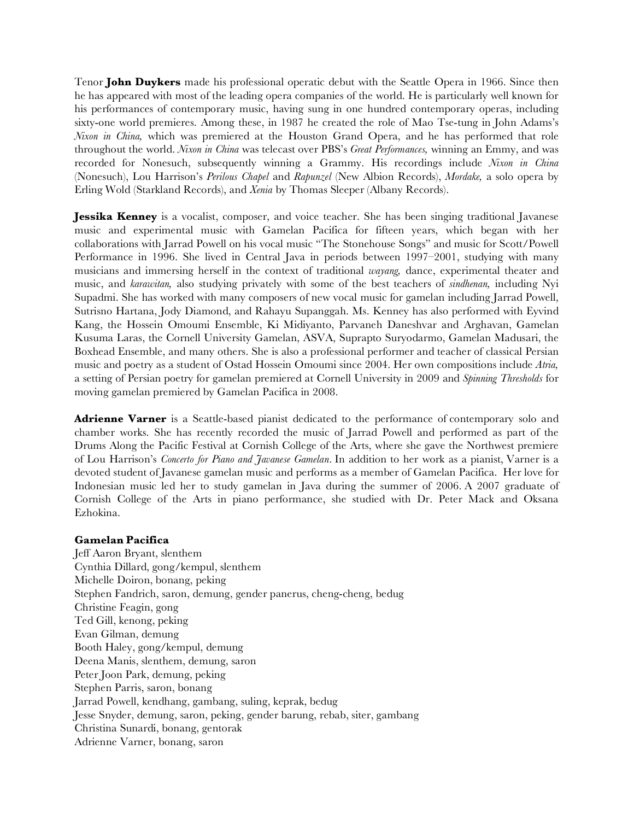Tenor **John Duykers** made his professional operatic debut with the Seattle Opera in 1966. Since then he has appeared with most of the leading opera companies of the world. He is particularly well known for his performances of contemporary music, having sung in one hundred contemporary operas, including sixty-one world premieres. Among these, in 1987 he created the role of Mao Tse-tung in John Adams's *Nixon in China,* which was premiered at the Houston Grand Opera, and he has performed that role throughout the world. *Nixon in China* was telecast over PBS's *Great Performances,* winning an Emmy, and was recorded for Nonesuch, subsequently winning a Grammy. His recordings include *Nixon in China* (Nonesuch), Lou Harrison's *Perilous Chapel* and *Rapunzel* (New Albion Records), *Mordake,* a solo opera by Erling Wold (Starkland Records), and *Xenia* by Thomas Sleeper (Albany Records).

**Jessika Kenney** is a vocalist, composer, and voice teacher. She has been singing traditional Javanese music and experimental music with Gamelan Pacifica for fifteen years, which began with her collaborations with Jarrad Powell on his vocal music "The Stonehouse Songs" and music for Scott/Powell Performance in 1996. She lived in Central Java in periods between 1997–2001, studying with many musicians and immersing herself in the context of traditional *wayang,* dance, experimental theater and music, and *karawitan,* also studying privately with some of the best teachers of *sindhenan,* including Nyi Supadmi. She has worked with many composers of new vocal music for gamelan including Jarrad Powell, Sutrisno Hartana, Jody Diamond, and Rahayu Supanggah. Ms. Kenney has also performed with Eyvind Kang, the Hossein Omoumi Ensemble, Ki Midiyanto, Parvaneh Daneshvar and Arghavan, Gamelan Kusuma Laras, the Cornell University Gamelan, ASVA, Suprapto Suryodarmo, Gamelan Madusari, the Boxhead Ensemble, and many others. She is also a professional performer and teacher of classical Persian music and poetry as a student of Ostad Hossein Omoumi since 2004. Her own compositions include *Atria,* a setting of Persian poetry for gamelan premiered at Cornell University in 2009 and *Spinning Thresholds* for moving gamelan premiered by Gamelan Pacifica in 2008.

**Adrienne Varner** is a Seattle-based pianist dedicated to the performance of contemporary solo and chamber works. She has recently recorded the music of Jarrad Powell and performed as part of the Drums Along the Pacific Festival at Cornish College of the Arts, where she gave the Northwest premiere of Lou Harrison's *Concerto for Piano and Javanese Gamelan*. In addition to her work as a pianist, Varner is a devoted student of Javanese gamelan music and performs as a member of Gamelan Pacifica. Her love for Indonesian music led her to study gamelan in Java during the summer of 2006. A 2007 graduate of Cornish College of the Arts in piano performance, she studied with Dr. Peter Mack and Oksana Ezhokina.

### **Gamelan Pacifica**

Jeff Aaron Bryant, slenthem Cynthia Dillard, gong/kempul, slenthem Michelle Doiron, bonang, peking Stephen Fandrich, saron, demung, gender panerus, cheng-cheng, bedug Christine Feagin, gong Ted Gill, kenong, peking Evan Gilman, demung Booth Haley, gong/kempul, demung Deena Manis, slenthem, demung, saron Peter Joon Park, demung, peking Stephen Parris, saron, bonang Jarrad Powell, kendhang, gambang, suling, keprak, bedug Jesse Snyder, demung, saron, peking, gender barung, rebab, siter, gambang Christina Sunardi, bonang, gentorak Adrienne Varner, bonang, saron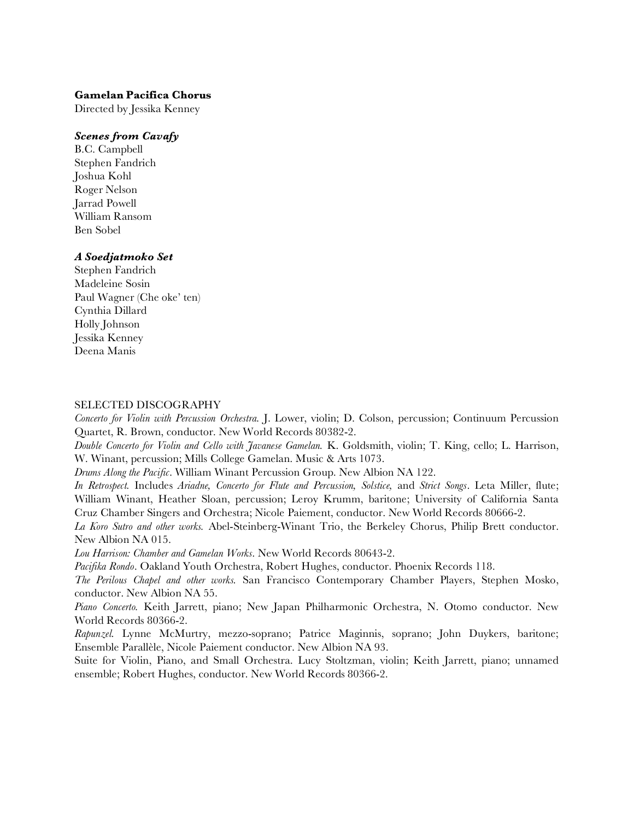### **Gamelan Pacifica Chorus**

Directed by Jessika Kenney

## *Scenes from Cavafy*

B.C. Campbell Stephen Fandrich Joshua Kohl Roger Nelson Jarrad Powell William Ransom Ben Sobel

### *A Soedjatmoko Set*

Stephen Fandrich Madeleine Sosin Paul Wagner (Che oke' ten) Cynthia Dillard Holly Johnson Jessika Kenney Deena Manis

### SELECTED DISCOGRAPHY

*Concerto for Violin with Percussion Orchestra.* J. Lower, violin; D. Colson, percussion; Continuum Percussion Quartet, R. Brown, conductor. New World Records 80382-2.

*Double Concerto for Violin and Cello with Javanese Gamelan.* K. Goldsmith, violin; T. King, cello; L. Harrison, W. Winant, percussion; Mills College Gamelan. Music & Arts 1073.

*Drums Along the Pacific*. William Winant Percussion Group. New Albion NA 122.

*In Retrospect.* Includes *Ariadne, Concerto for Flute and Percussion, Solstice,* and *Strict Songs*. Leta Miller, flute; William Winant, Heather Sloan, percussion; Leroy Krumm, baritone; University of California Santa Cruz Chamber Singers and Orchestra; Nicole Paiement, conductor. New World Records 80666-2.

*La Koro Sutro and other works.* Abel-Steinberg-Winant Trio, the Berkeley Chorus, Philip Brett conductor. New Albion NA 015.

*Lou Harrison: Chamber and Gamelan Works*. New World Records 80643-2.

*Pacifika Rondo*. Oakland Youth Orchestra, Robert Hughes, conductor. Phoenix Records 118.

*The Perilous Chapel and other works.* San Francisco Contemporary Chamber Players, Stephen Mosko, conductor. New Albion NA 55.

*Piano Concerto.* Keith Jarrett, piano; New Japan Philharmonic Orchestra, N. Otomo conductor. New World Records 80366-2.

*Rapunzel.* Lynne McMurtry, mezzo-soprano; Patrice Maginnis, soprano; John Duykers, baritone; Ensemble Parallèle, Nicole Paiement conductor. New Albion NA 93.

Suite for Violin, Piano, and Small Orchestra. Lucy Stoltzman, violin; Keith Jarrett, piano; unnamed ensemble; Robert Hughes, conductor. New World Records 80366-2.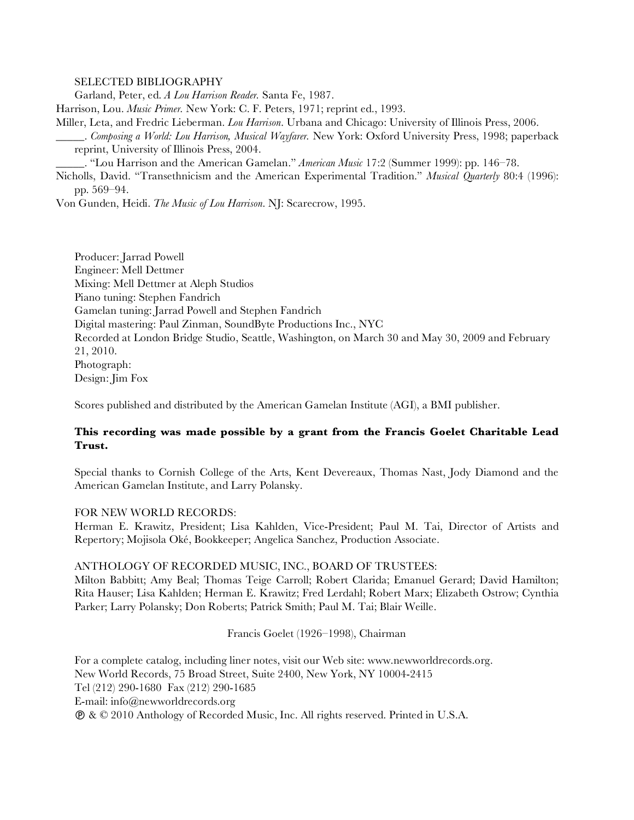SELECTED BIBLIOGRAPHY

Garland, Peter, ed. *A Lou Harrison Reader.* Santa Fe, 1987.

Harrison, Lou. *Music Primer.* New York: C. F. Peters, 1971; reprint ed., 1993.

Miller, Leta, and Fredric Lieberman. *Lou Harrison*. Urbana and Chicago: University of Illinois Press, 2006.

\_\_\_\_\_. *Composing a World: Lou Harrison, Musical Wayfarer.* New York: Oxford University Press, 1998; paperback reprint, University of Illinois Press, 2004.

\_\_\_\_\_. "Lou Harrison and the American Gamelan." *American Music* 17:2 (Summer 1999): pp. 146–78.

Nicholls, David. "Transethnicism and the American Experimental Tradition." *Musical Quarterly* 80:4 (1996): pp. 569–94.

Von Gunden, Heidi. *The Music of Lou Harrison*. NJ: Scarecrow, 1995.

Producer: Jarrad Powell Engineer: Mell Dettmer Mixing: Mell Dettmer at Aleph Studios Piano tuning: Stephen Fandrich Gamelan tuning: Jarrad Powell and Stephen Fandrich Digital mastering: Paul Zinman, SoundByte Productions Inc., NYC Recorded at London Bridge Studio, Seattle, Washington, on March 30 and May 30, 2009 and February 21, 2010. Photograph: Design: Jim Fox

Scores published and distributed by the American Gamelan Institute (AGI), a BMI publisher.

# **This recording was made possible by a grant from the Francis Goelet Charitable Lead Trust.**

Special thanks to Cornish College of the Arts, Kent Devereaux, Thomas Nast, Jody Diamond and the American Gamelan Institute, and Larry Polansky.

### FOR NEW WORLD RECORDS:

Herman E. Krawitz, President; Lisa Kahlden, Vice-President; Paul M. Tai, Director of Artists and Repertory; Mojisola Oké, Bookkeeper; Angelica Sanchez, Production Associate.

### ANTHOLOGY OF RECORDED MUSIC, INC., BOARD OF TRUSTEES:

Milton Babbitt; Amy Beal; Thomas Teige Carroll; Robert Clarida; Emanuel Gerard; David Hamilton; Rita Hauser; Lisa Kahlden; Herman E. Krawitz; Fred Lerdahl; Robert Marx; Elizabeth Ostrow; Cynthia Parker; Larry Polansky; Don Roberts; Patrick Smith; Paul M. Tai; Blair Weille.

Francis Goelet (1926–1998), Chairman

For a complete catalog, including liner notes, visit our Web site: www.newworldrecords.org. New World Records, 75 Broad Street, Suite 2400, New York, NY 10004-2415 Tel (212) 290-1680 Fax (212) 290-1685 E-mail: info@newworldrecords.org & © 2010 Anthology of Recorded Music, Inc. All rights reserved. Printed in U.S.A.